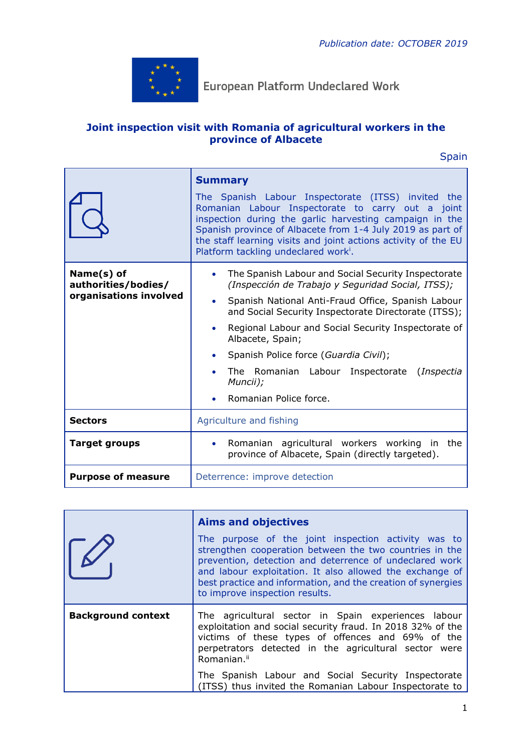

European Platform Undeclared Work

## **Joint inspection visit with Romania of agricultural workers in the province of Albacete**

**Spain** 

|                                                             | <b>Summary</b><br>The Spanish Labour Inspectorate (ITSS) invited the<br>Romanian Labour Inspectorate to carry out a joint<br>inspection during the garlic harvesting campaign in the<br>Spanish province of Albacete from 1-4 July 2019 as part of<br>the staff learning visits and joint actions activity of the EU<br>Platform tackling undeclared work <sup>i</sup> .                                                           |
|-------------------------------------------------------------|------------------------------------------------------------------------------------------------------------------------------------------------------------------------------------------------------------------------------------------------------------------------------------------------------------------------------------------------------------------------------------------------------------------------------------|
| Name(s) of<br>authorities/bodies/<br>organisations involved | The Spanish Labour and Social Security Inspectorate<br>(Inspección de Trabajo y Seguridad Social, ITSS);<br>Spanish National Anti-Fraud Office, Spanish Labour<br>and Social Security Inspectorate Directorate (ITSS);<br>Regional Labour and Social Security Inspectorate of<br>Albacete, Spain;<br>Spanish Police force (Guardia Civil);<br>The Romanian Labour Inspectorate<br>(Inspectia<br>Muncii);<br>Romanian Police force. |
| <b>Sectors</b>                                              | Agriculture and fishing                                                                                                                                                                                                                                                                                                                                                                                                            |
| <b>Target groups</b>                                        | Romanian agricultural workers working<br>the<br>in l<br>province of Albacete, Spain (directly targeted).                                                                                                                                                                                                                                                                                                                           |
| <b>Purpose of measure</b>                                   | Deterrence: improve detection                                                                                                                                                                                                                                                                                                                                                                                                      |

|                           | <b>Aims and objectives</b><br>The purpose of the joint inspection activity was to<br>strengthen cooperation between the two countries in the<br>prevention, detection and deterrence of undeclared work<br>and labour exploitation. It also allowed the exchange of<br>best practice and information, and the creation of synergies<br>to improve inspection results.        |
|---------------------------|------------------------------------------------------------------------------------------------------------------------------------------------------------------------------------------------------------------------------------------------------------------------------------------------------------------------------------------------------------------------------|
| <b>Background context</b> | The agricultural sector in Spain experiences labour<br>exploitation and social security fraud. In 2018 32% of the<br>victims of these types of offences and 69% of the<br>perpetrators detected in the agricultural sector were<br>Romanian. <sup>ii</sup><br>The Spanish Labour and Social Security Inspectorate<br>(ITSS) thus invited the Romanian Labour Inspectorate to |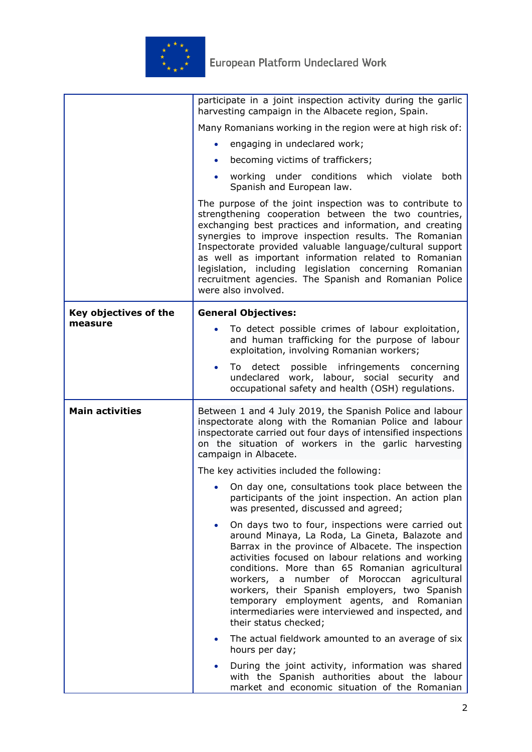

|                        | participate in a joint inspection activity during the garlic<br>harvesting campaign in the Albacete region, Spain.                                                                                                                                                                                                                                                                                                                                                                                  |
|------------------------|-----------------------------------------------------------------------------------------------------------------------------------------------------------------------------------------------------------------------------------------------------------------------------------------------------------------------------------------------------------------------------------------------------------------------------------------------------------------------------------------------------|
|                        | Many Romanians working in the region were at high risk of:                                                                                                                                                                                                                                                                                                                                                                                                                                          |
|                        | engaging in undeclared work;                                                                                                                                                                                                                                                                                                                                                                                                                                                                        |
|                        | becoming victims of traffickers;                                                                                                                                                                                                                                                                                                                                                                                                                                                                    |
|                        | working under conditions which violate<br>both<br>Spanish and European law.                                                                                                                                                                                                                                                                                                                                                                                                                         |
|                        | The purpose of the joint inspection was to contribute to<br>strengthening cooperation between the two countries,<br>exchanging best practices and information, and creating<br>synergies to improve inspection results. The Romanian<br>Inspectorate provided valuable language/cultural support<br>as well as important information related to Romanian<br>legislation, including legislation concerning Romanian<br>recruitment agencies. The Spanish and Romanian Police<br>were also involved.  |
| Key objectives of the  | <b>General Objectives:</b>                                                                                                                                                                                                                                                                                                                                                                                                                                                                          |
| measure                | To detect possible crimes of labour exploitation,<br>$\bullet$<br>and human trafficking for the purpose of labour<br>exploitation, involving Romanian workers;                                                                                                                                                                                                                                                                                                                                      |
|                        | detect possible infringements concerning<br>To the<br>$\bullet$<br>undeclared work, labour, social security and<br>occupational safety and health (OSH) regulations.                                                                                                                                                                                                                                                                                                                                |
| <b>Main activities</b> | Between 1 and 4 July 2019, the Spanish Police and labour<br>inspectorate along with the Romanian Police and labour<br>inspectorate carried out four days of intensified inspections<br>on the situation of workers in the garlic harvesting<br>campaign in Albacete.                                                                                                                                                                                                                                |
|                        | The key activities included the following:                                                                                                                                                                                                                                                                                                                                                                                                                                                          |
|                        | On day one, consultations took place between the<br>participants of the joint inspection. An action plan<br>was presented, discussed and agreed;                                                                                                                                                                                                                                                                                                                                                    |
|                        | On days two to four, inspections were carried out<br>around Minaya, La Roda, La Gineta, Balazote and<br>Barrax in the province of Albacete. The inspection<br>activities focused on labour relations and working<br>conditions. More than 65 Romanian agricultural<br>number of Moroccan<br>workers, a<br>agricultural<br>workers, their Spanish employers, two Spanish<br>temporary employment agents, and Romanian<br>intermediaries were interviewed and inspected, and<br>their status checked; |
|                        | The actual fieldwork amounted to an average of six<br>$\bullet$<br>hours per day;                                                                                                                                                                                                                                                                                                                                                                                                                   |
|                        | During the joint activity, information was shared<br>with the Spanish authorities about the labour<br>market and economic situation of the Romanian                                                                                                                                                                                                                                                                                                                                                 |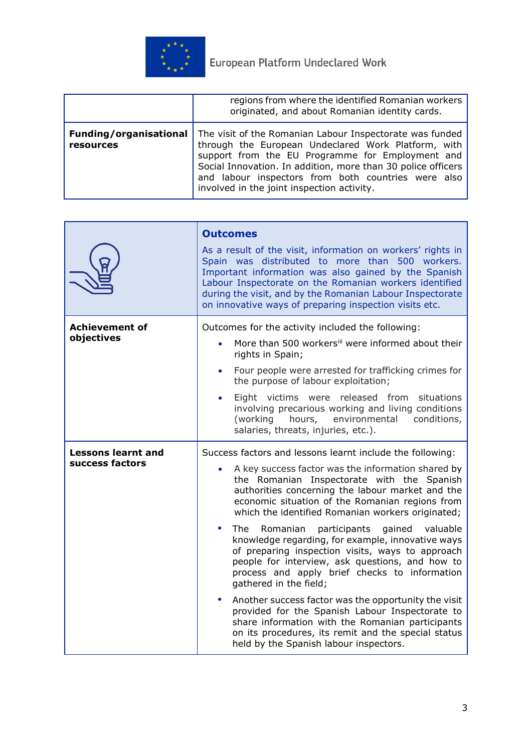

|                                            | regions from where the identified Romanian workers<br>originated, and about Romanian identity cards.                                                                                                                                                                                                                                     |
|--------------------------------------------|------------------------------------------------------------------------------------------------------------------------------------------------------------------------------------------------------------------------------------------------------------------------------------------------------------------------------------------|
| <b>Funding/organisational</b><br>resources | The visit of the Romanian Labour Inspectorate was funded<br>through the European Undeclared Work Platform, with<br>support from the EU Programme for Employment and<br>Social Innovation. In addition, more than 30 police officers<br>and labour inspectors from both countries were also<br>involved in the joint inspection activity. |

|                                              | <b>Outcomes</b>                                                                                                                                                                                                                                                                                                                                                                                                                                                                                                                                                                                                                                                                                                                                                                                                                                                                                            |
|----------------------------------------------|------------------------------------------------------------------------------------------------------------------------------------------------------------------------------------------------------------------------------------------------------------------------------------------------------------------------------------------------------------------------------------------------------------------------------------------------------------------------------------------------------------------------------------------------------------------------------------------------------------------------------------------------------------------------------------------------------------------------------------------------------------------------------------------------------------------------------------------------------------------------------------------------------------|
|                                              | As a result of the visit, information on workers' rights in<br>Spain was distributed to more than 500 workers.<br>Important information was also gained by the Spanish<br>Labour Inspectorate on the Romanian workers identified<br>during the visit, and by the Romanian Labour Inspectorate<br>on innovative ways of preparing inspection visits etc.                                                                                                                                                                                                                                                                                                                                                                                                                                                                                                                                                    |
| <b>Achievement of</b><br>objectives          | Outcomes for the activity included the following:<br>More than 500 workersiii were informed about their<br>rights in Spain;<br>Four people were arrested for trafficking crimes for<br>$\bullet$<br>the purpose of labour exploitation;<br>Eight victims were released from<br>situations<br>involving precarious working and living conditions<br>(working<br>hours,<br>environmental<br>conditions,<br>salaries, threats, injuries, etc.).                                                                                                                                                                                                                                                                                                                                                                                                                                                               |
| <b>Lessons learnt and</b><br>success factors | Success factors and lessons learnt include the following:<br>A key success factor was the information shared by<br>$\bullet$<br>the Romanian Inspectorate with the Spanish<br>authorities concerning the labour market and the<br>economic situation of the Romanian regions from<br>which the identified Romanian workers originated;<br>The<br>Romanian participants gained valuable<br>$\bullet$<br>knowledge regarding, for example, innovative ways<br>of preparing inspection visits, ways to approach<br>people for interview, ask questions, and how to<br>process and apply brief checks to information<br>gathered in the field;<br>Another success factor was the opportunity the visit<br>provided for the Spanish Labour Inspectorate to<br>share information with the Romanian participants<br>on its procedures, its remit and the special status<br>held by the Spanish labour inspectors. |